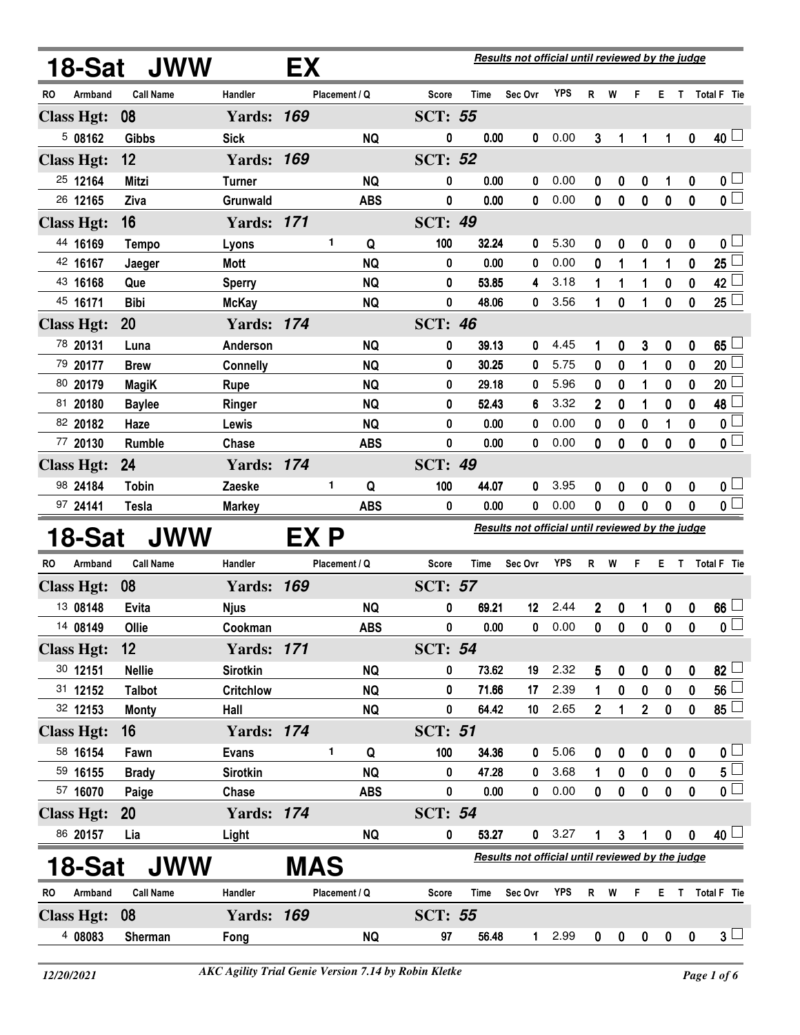|                      | 18-Sat JWW       |                   | EX         |               |            |                |       | Results not official until reviewed by the judge |            |                |                |                |             |                  |                                                      |
|----------------------|------------------|-------------------|------------|---------------|------------|----------------|-------|--------------------------------------------------|------------|----------------|----------------|----------------|-------------|------------------|------------------------------------------------------|
| Armband<br>RO        | <b>Call Name</b> | Handler           |            | Placement / Q |            | <b>Score</b>   | Time  | Sec Ovr                                          | <b>YPS</b> | R              | W              | F              | Е.          | $\mathsf{T}$     | Total F Tie                                          |
| <b>Class Hgt:</b>    | 08               | <b>Yards: 169</b> |            |               |            | <b>SCT: 55</b> |       |                                                  |            |                |                |                |             |                  |                                                      |
| 508162               | <b>Gibbs</b>     | <b>Sick</b>       |            |               | <b>NQ</b>  | 0              | 0.00  | 0                                                | 0.00       | 3              | 1              | 1              | 1           | $\boldsymbol{0}$ | $40\perp$                                            |
| <b>Class Hgt:</b>    | 12               | <b>Yards: 169</b> |            |               |            | <b>SCT: 52</b> |       |                                                  |            |                |                |                |             |                  |                                                      |
| 25 12164             | <b>Mitzi</b>     | <b>Turner</b>     |            |               | <b>NQ</b>  | 0              | 0.00  | 0                                                | 0.00       | 0              | 0              | 0              | 1           | 0                | 0 <sub>0</sub>                                       |
| 26 12165             | Ziva             | Grunwald          |            |               | <b>ABS</b> | 0              | 0.00  | 0                                                | 0.00       | 0              | $\mathbf{0}$   | $\mathbf 0$    | $\bf{0}$    | $\mathbf 0$      | $\overline{0}$                                       |
| <b>Class Hgt:</b>    | 16               | <b>Yards: 171</b> |            |               |            | <b>SCT: 49</b> |       |                                                  |            |                |                |                |             |                  |                                                      |
| 44 16169             | <b>Tempo</b>     | Lyons             |            | 1             | Q          | 100            | 32.24 | 0                                                | 5.30       | 0              | 0              | 0              | 0           | 0                | 0 <sub>1</sub>                                       |
| 42 16167             | Jaeger           | Mott              |            |               | <b>NQ</b>  | 0              | 0.00  | 0                                                | 0.00       | 0              | 1              | 1              | 1           | 0                | 25                                                   |
| 43 16168             | Que              | <b>Sperry</b>     |            |               | <b>NQ</b>  | 0              | 53.85 | 4                                                | 3.18       | 1              | 1              | 1              | 0           | 0                | $42\perp$                                            |
| 45 16171             | <b>Bibi</b>      | <b>McKay</b>      |            |               | <b>NQ</b>  | 0              | 48.06 | 0                                                | 3.56       | 1              | 0              | 1              | 0           | 0                | 25 <sup>°</sup>                                      |
| <b>Class Hgt:</b>    | 20               | <b>Yards: 174</b> |            |               |            | <b>SCT: 46</b> |       |                                                  |            |                |                |                |             |                  |                                                      |
| 78 20131             | Luna             | Anderson          |            |               | <b>NQ</b>  | 0              | 39.13 | 0                                                | 4.45       | 1              | 0              | 3              | 0           | 0                | $65\perp$                                            |
| 79 20177             | <b>Brew</b>      | <b>Connelly</b>   |            |               | <b>NQ</b>  | 0              | 30.25 | 0                                                | 5.75       | 0              | 0              | 1              | 0           | 0                | 20                                                   |
| 80 20179             | <b>MagiK</b>     | <b>Rupe</b>       |            |               | <b>NQ</b>  | 0              | 29.18 | 0                                                | 5.96       | 0              | 0              | 1              | 0           | 0                | 20                                                   |
| 81 20180             | <b>Baylee</b>    | Ringer            |            |               | <b>NQ</b>  | 0              | 52.43 | 6                                                | 3.32       | 2              | 0              | 1              | 0           | 0                | 48                                                   |
| 82 20182             | Haze             | Lewis             |            |               | <b>NQ</b>  | 0              | 0.00  | 0                                                | 0.00       | 0              | 0              | 0              |             | 0                | 0 L                                                  |
| 77 20130             | Rumble           | Chase             |            |               | <b>ABS</b> | 0              | 0.00  | 0                                                | 0.00       | 0              | 0              | $\mathbf 0$    | 0           | 0                | $\overline{\mathbf{0}}$                              |
| <b>Class Hgt:</b>    | 24               | <b>Yards: 174</b> |            |               |            | <b>SCT: 49</b> |       |                                                  |            |                |                |                |             |                  |                                                      |
| 98 24184             | <b>Tobin</b>     | Zaeske            |            | 1             | Q          | 100            | 44.07 | 0                                                | 3.95       | 0              | 0              | 0              | 0           | 0                | 0 <sub>1</sub>                                       |
| 97 24141             | <b>Tesla</b>     | <b>Markey</b>     |            |               | <b>ABS</b> | 0              | 0.00  | $\bf{0}$                                         | 0.00       | 0              | 0              | $\mathbf 0$    | $\bf{0}$    | 0                | $\overline{\mathbf{0}}$                              |
| 18-Sat               | JWW              |                   | EX P       |               |            |                |       | Results not official until reviewed by the judge |            |                |                |                |             |                  |                                                      |
| <b>RO</b><br>Armband | <b>Call Name</b> | Handler           |            | Placement / Q |            | Score          | Time  | Sec Ovr                                          | <b>YPS</b> | $\mathsf{R}$   | W              | F              | Е           | T                | Total F Tie                                          |
| <b>Class Hgt:</b>    | 08               | <b>Yards: 169</b> |            |               |            | <b>SCT: 57</b> |       |                                                  |            |                |                |                |             |                  |                                                      |
| 13 08148             | Evita            | <b>Njus</b>       |            |               | <b>NQ</b>  | 0              | 69.21 | 12                                               | 2.44       | 2              | 0              | 1              | 0           | 0                | 66 <sup>°</sup>                                      |
| 14 08149             | Ollie            | Cookman           |            |               | <b>ABS</b> | 0              | 0.00  | 0                                                | 0.00       | 0              | 0              | 0              | $\mathbf 0$ | 0                | $\overline{\mathbf{0}}$                              |
| <b>Class Hgt:</b>    | 12               | <b>Yards: 171</b> |            |               |            | <b>SCT: 54</b> |       |                                                  |            |                |                |                |             |                  |                                                      |
| 30 12151             | <b>Nellie</b>    | <b>Sirotkin</b>   |            |               | <b>NQ</b>  | 0              | 73.62 | 19                                               | 2.32       | 5              | 0              | 0              | 0           | 0                | $82 \Box$                                            |
| 31 12152             | <b>Talbot</b>    | <b>Critchlow</b>  |            |               | <b>NQ</b>  | 0              | 71.66 | 17                                               | 2.39       | 1              | 0              | $\mathbf 0$    | $\pmb{0}$   | 0                | $\overline{\phantom{0}}$ 56 $\overline{\phantom{0}}$ |
| 32 12153             | <b>Monty</b>     | Hall              |            |               | <b>NQ</b>  | 0              | 64.42 | 10                                               | 2.65       | $\overline{2}$ | 1              | $\overline{2}$ | 0           | 0                | $85 -$                                               |
| <b>Class Hgt:</b>    | 16               | <b>Yards: 174</b> |            |               |            | <b>SCT: 51</b> |       |                                                  |            |                |                |                |             |                  |                                                      |
| 58 16154             | Fawn             | <b>Evans</b>      |            | 1             | Q          | 100            | 34.36 | 0                                                | 5.06       | 0              | 0              | 0              | 0           | 0                | 0 <sub>1</sub>                                       |
| 59 16155             | <b>Brady</b>     | <b>Sirotkin</b>   |            |               | <b>NQ</b>  | 0              | 47.28 | 0                                                | 3.68       | 1              | 0              | 0              | 0           | 0                | $\overline{5}$                                       |
| 57 16070             | Paige            | Chase             |            |               | <b>ABS</b> | 0              | 0.00  | 0                                                | 0.00       | 0              | $\bf{0}$       | $\mathbf 0$    | $\bf{0}$    | $\bf{0}$         | $\overline{\mathbf{0}}$                              |
| <b>Class Hgt:</b>    | <b>20</b>        | <b>Yards: 174</b> |            |               |            | <b>SCT: 54</b> |       |                                                  |            |                |                |                |             |                  |                                                      |
| 86 20157             | Lia              | Light             |            |               | <b>NQ</b>  | 0              | 53.27 |                                                  | 0 3.27     | 1              | 3 <sup>1</sup> | $\mathbf{1}$   | $\pmb{0}$   | $\mathbf{0}$     | 40 $\Box$                                            |
| 18-Sat               | <b>JWW</b>       |                   | <b>MAS</b> |               |            |                |       | Results not official until reviewed by the judge |            |                |                |                |             |                  |                                                      |
| <b>RO</b><br>Armband | <b>Call Name</b> | Handler           |            | Placement / Q |            | Score          | Time  | Sec Ovr                                          | <b>YPS</b> | R              | W              | F              | E.          |                  | T Total F Tie                                        |
| <b>Class Hgt:</b>    | 08               | <b>Yards: 169</b> |            |               |            | <b>SCT: 55</b> |       |                                                  |            |                |                |                |             |                  |                                                      |
| 4 08083              | Sherman          | Fong              |            |               | <b>NQ</b>  | 97             | 56.48 | 1                                                | 2.99       | $\mathbf 0$    | $\mathbf 0$    | $\mathbf 0$    | $\mathbf 0$ | $\mathbf 0$      | $3\sqcup$                                            |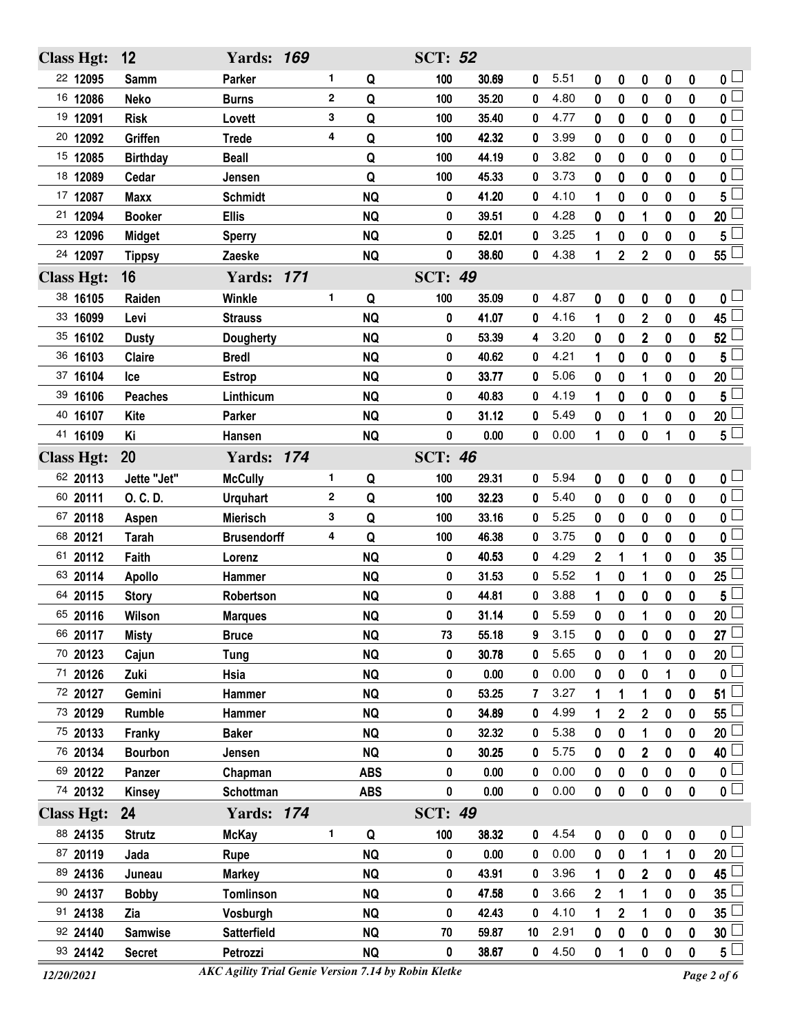| <b>Class Hgt:</b> | 12              | <b>Yards: 169</b>  |              |            | <b>SCT: 52</b> |       |             |      |              |                |                |             |              |                           |
|-------------------|-----------------|--------------------|--------------|------------|----------------|-------|-------------|------|--------------|----------------|----------------|-------------|--------------|---------------------------|
| 22 12095          | <b>Samm</b>     | Parker             | 1.           | Q          | 100            | 30.69 | 0           | 5.51 | 0            | 0              | 0              | 0           | 0            | $\overline{\mathbf{0}}$   |
| 16 12086          | <b>Neko</b>     | <b>Burns</b>       | $\mathbf 2$  | Q          | 100            | 35.20 | 0           | 4.80 | 0            | $\bf{0}$       | 0              | 0           | $\mathbf{0}$ | $\overline{0}$            |
| 19 12091          | <b>Risk</b>     | Lovett             | 3            | Q          | 100            | 35.40 | 0           | 4.77 | 0            | 0              | 0              | 0           | 0            | $\overline{\mathfrak{o}}$ |
| 20 12092          | Griffen         | <b>Trede</b>       | 4            | Q          | 100            | 42.32 | 0           | 3.99 | 0            | $\bf{0}$       | $\bf{0}$       | 0           | $\bf{0}$     | $\mathbf{0}$              |
| 15 12085          | <b>Birthday</b> | <b>Beall</b>       |              | Q          | 100            | 44.19 | 0           | 3.82 | 0            | 0              | 0              | 0           | 0            | 0                         |
| 18 12089          | Cedar           | Jensen             |              | Q          | 100            | 45.33 | 0           | 3.73 | 0            | $\bf{0}$       | $\bf{0}$       | $\bf{0}$    | $\bf{0}$     | $\mathbf{0}$              |
| 17 12087          | <b>Maxx</b>     | <b>Schmidt</b>     |              | <b>NQ</b>  | 0              | 41.20 | 0           | 4.10 | 1            | 0              | 0              | 0           | 0            | 5                         |
| 12094<br>21       | <b>Booker</b>   | <b>Ellis</b>       |              | <b>NQ</b>  | 0              | 39.51 | 0           | 4.28 | 0            | $\bf{0}$       | 1              | 0           | 0            | 20                        |
| 23 12096          | <b>Midget</b>   | <b>Sperry</b>      |              | <b>NQ</b>  | 0              | 52.01 | 0           | 3.25 | 1            | 0              | 0              | 0           | 0            | 5                         |
| 24 12097          | <b>Tippsy</b>   | Zaeske             |              | <b>NQ</b>  | 0              | 38.60 | 0           | 4.38 | 1            | $\overline{2}$ | $\overline{2}$ | $\mathbf 0$ | 0            | $55^{\frac{1}{2}}$        |
| <b>Class Hgt:</b> | 16              | <b>Yards: 171</b>  |              |            | <b>SCT: 49</b> |       |             |      |              |                |                |             |              |                           |
| 38 16105          | Raiden          | Winkle             | 1.           | Q          | 100            | 35.09 | 0           | 4.87 | 0            | 0              | 0              | 0           | 0            | 0 L                       |
| 33 16099          | Levi            | <b>Strauss</b>     |              | <b>NQ</b>  | 0              | 41.07 | 0           | 4.16 | 1            | 0              | $\overline{2}$ | 0           | 0            | 45                        |
| 35 16102          | <b>Dusty</b>    | <b>Dougherty</b>   |              | <b>NQ</b>  | 0              | 53.39 | 4           | 3.20 | 0            | 0              | $\mathbf 2$    | 0           | 0            | 52                        |
| 36 16103          | Claire          | <b>Bredl</b>       |              | <b>NQ</b>  | 0              | 40.62 | 0           | 4.21 | 1            | 0              | 0              | 0           | 0            | 5                         |
| 37 16104          | Ice             | <b>Estrop</b>      |              | <b>NQ</b>  | 0              | 33.77 | 0           | 5.06 | 0            | 0              | 1              | 0           | 0            | 20                        |
| 39 16106          | <b>Peaches</b>  | Linthicum          |              | <b>NQ</b>  | 0              | 40.83 | 0           | 4.19 | 1            | 0              | 0              | 0           | 0            | 5                         |
| 40 16107          | <b>Kite</b>     | Parker             |              | <b>NQ</b>  | 0              | 31.12 | 0           | 5.49 | 0            | 0              | 1              | 0           | 0            | 20                        |
| 41 16109          | Κi              | Hansen             |              | <b>NQ</b>  | 0              | 0.00  | 0           | 0.00 | 1            | 0              | 0              | 1           | 0            | $5^{\square}$             |
| <b>Class Hgt:</b> | 20              | <b>Yards: 174</b>  |              |            | <b>SCT: 46</b> |       |             |      |              |                |                |             |              |                           |
| 62 20113          | Jette "Jet"     | <b>McCully</b>     | 1.           | Q          | 100            | 29.31 | 0           | 5.94 | 0            | 0              | 0              | 0           | 0            | $\mathfrak{o} \sqcup$     |
| 60 20111          | O. C. D.        | <b>Urquhart</b>    | $\mathbf{2}$ | Q          | 100            | 32.23 | 0           | 5.40 | 0            | $\bf{0}$       | 0              | 0           | 0            | $\overline{0}$            |
| 67 20118          | Aspen           | <b>Mierisch</b>    | 3            | Q          | 100            | 33.16 | 0           | 5.25 | 0            | 0              | 0              | 0           | 0            | $\Box$<br>0               |
| 68 20121          | <b>Tarah</b>    | <b>Brusendorff</b> | 4            | Q          | 100            | 46.38 | 0           | 3.75 | $\bf{0}$     | 0              | 0              | 0           | 0            | 0                         |
| 61 20112          | Faith           | Lorenz             |              | <b>NQ</b>  | 0              | 40.53 | 0           | 4.29 | $\mathbf{2}$ | 1              | 1              | 0           | 0            | 35                        |
| 63 20114          | <b>Apollo</b>   | Hammer             |              | <b>NQ</b>  | 0              | 31.53 | 0           | 5.52 | 1            | 0              | 1              | 0           | 0            | 25                        |
| 64 20115          | <b>Story</b>    | Robertson          |              | <b>NQ</b>  | 0              | 44.81 | 0           | 3.88 | 1            | 0              | 0              | 0           | 0            | 5                         |
| 65 20116          | Wilson          | <b>Marques</b>     |              | <b>NQ</b>  | 0              | 31.14 | 0           | 5.59 | 0            | 0              | 1              | 0           | 0            | 20                        |
| 66 20117          | <b>Misty</b>    | <b>Bruce</b>       |              | <b>NQ</b>  | 73             | 55.18 | 9           | 3.15 | 0            | 0              | 0              | $\mathbf 0$ | 0            | 27 $\Box$                 |
| 70 20123          | Cajun           | <b>Tung</b>        |              | <b>NQ</b>  | 0              | 30.78 | 0           | 5.65 | 0            | 0              | 1              | 0           | 0            | 20                        |
| 71 20126          | Zuki            | Hsia               |              | <b>NQ</b>  | 0              | 0.00  | 0           | 0.00 | 0            | 0              | 0              | 1           | 0            | 0                         |
| 72 20127          | Gemini          | Hammer             |              | <b>NQ</b>  | 0              | 53.25 | 7           | 3.27 | 1            |                | 1              | 0           | 0            | 51                        |
| 73 20129          | <b>Rumble</b>   | Hammer             |              | <b>NQ</b>  | 0              | 34.89 | 0           | 4.99 |              | $\mathbf 2$    | $\mathbf 2$    | 0           | 0            | 55                        |
| 75 20133          | Franky          | <b>Baker</b>       |              | <b>NQ</b>  | 0              | 32.32 | 0           | 5.38 | 0            | 0              | 1              | 0           | 0            | 20                        |
| 76 20134          | <b>Bourbon</b>  | Jensen             |              | <b>NQ</b>  | 0              | 30.25 | 0           | 5.75 | 0            | 0              | $\mathbf 2$    | 0           | 0            | 40 l                      |
| 69 20122          | Panzer          | Chapman            |              | <b>ABS</b> | 0              | 0.00  | 0           | 0.00 | 0            | 0              | 0              | 0           | 0            | 0 <sup>1</sup>            |
| 74 20132          | <b>Kinsey</b>   | Schottman          |              | <b>ABS</b> | 0              | 0.00  | 0           | 0.00 | $\bf{0}$     | 0              | 0              | 0           | 0            | $\overline{\mathbf{0}}$   |
| <b>Class Hgt:</b> | 24              | <b>Yards: 174</b>  |              |            | <b>SCT: 49</b> |       |             |      |              |                |                |             |              |                           |
| 88 24135          | <b>Strutz</b>   | <b>McKay</b>       | 1.           | Q          | 100            | 38.32 | 0           | 4.54 | 0            | $\bf{0}$       | 0              | 0           | 0            | $\mathfrak{o} \sqcup$     |
| 87 20119          | Jada            | Rupe               |              | <b>NQ</b>  | 0              | 0.00  | 0           | 0.00 | 0            | 0              | 1              | 1           | 0            | $20\perp$                 |
| 89 24136          | Juneau          | <b>Markey</b>      |              | <b>NQ</b>  | 0              | 43.91 | 0           | 3.96 | 1            | 0              | $\mathbf{2}$   | 0           | $\bf{0}$     | 45                        |
| 90 24137          | <b>Bobby</b>    | Tomlinson          |              | <b>NQ</b>  | 0              | 47.58 | 0           | 3.66 | $\mathbf{2}$ | 1              | 1              | 0           | 0            | 35                        |
| 91 24138          | Zia             | Vosburgh           |              | <b>NQ</b>  | 0              | 42.43 | 0           | 4.10 | 1            | $\overline{2}$ | 1              | 0           | 0            | 35                        |
| 92 24140          | <b>Samwise</b>  | <b>Satterfield</b> |              | <b>NQ</b>  | 70             | 59.87 | 10          | 2.91 | 0            | 0              | 0              | 0           | 0            | 30 <sup>1</sup>           |
| 93 24142          | <b>Secret</b>   | Petrozzi           |              | <b>NQ</b>  | 0              | 38.67 | $\mathbf 0$ | 4.50 | 0            | 1              | 0              | 0           | 0            | $5^{\perp}$               |
|                   |                 |                    |              |            |                |       |             |      |              |                |                |             |              |                           |

*12/20/2021 Page 2 of 6 AKC Agility Trial Genie Version 7.14 by Robin Kletke*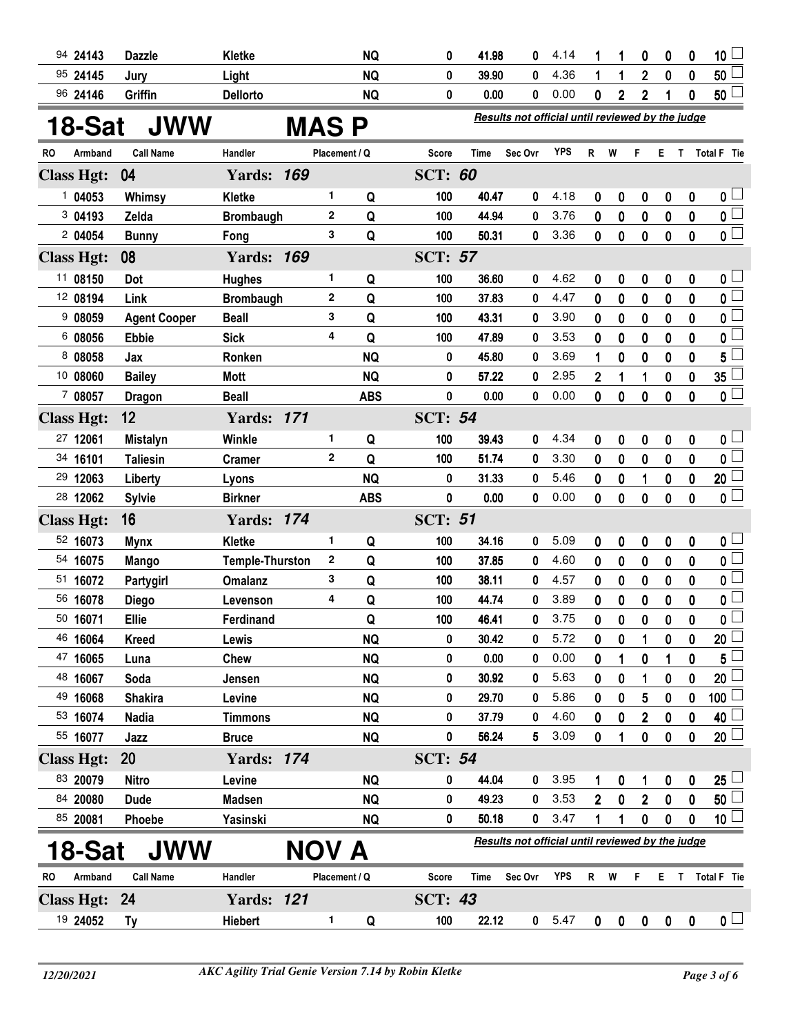| 94 24143          | <b>Dazzle</b>       | <b>Kletke</b>          |               | <b>NQ</b>  | 0              | 41.98 | 0                                                | 4.14       |              | 1              | 0                | 0                | $\bf{0}$    | 10 <sub>1</sub>         |
|-------------------|---------------------|------------------------|---------------|------------|----------------|-------|--------------------------------------------------|------------|--------------|----------------|------------------|------------------|-------------|-------------------------|
| 95 24145          | Jury                | Light                  |               | <b>NQ</b>  | 0              | 39.90 | 0                                                | 4.36       | 1            | 1              | $\overline{2}$   | $\bf{0}$         | $\mathbf 0$ | 50                      |
| 96 24146          | Griffin             | <b>Dellorto</b>        |               | <b>NQ</b>  | 0              | 0.00  | 0                                                | 0.00       | 0            | $\overline{2}$ | 2                | 1                | $\bf{0}$    | $50^{\frac{1}{2}}$      |
| 18-Sat            | <b>JWW</b>          |                        | <b>MASP</b>   |            |                |       | Results not official until reviewed by the judge |            |              |                |                  |                  |             |                         |
| RO<br>Armband     | <b>Call Name</b>    | Handler                | Placement / Q |            | Score          | Time  | Sec Ovr                                          | <b>YPS</b> | R W          |                | F.               |                  |             | E T Total F Tie         |
| <b>Class Hgt:</b> | 04                  | <b>Yards: 169</b>      |               |            | <b>SCT: 60</b> |       |                                                  |            |              |                |                  |                  |             |                         |
| 1 04053           | Whimsy              | <b>Kletke</b>          | 1.            | Q          | 100            | 40.47 | 0                                                | 4.18       | 0            | 0              | 0                | 0                | 0           | 0 <sub>1</sub>          |
| 3 04193           | Zelda               | <b>Brombaugh</b>       | 2             | Q          | 100            | 44.94 | 0                                                | 3.76       | 0            | 0              | 0                | 0                | $\mathbf 0$ | 0 L                     |
| 2 04054           | <b>Bunny</b>        | Fong                   | 3             | Q          | 100            | 50.31 | 0                                                | 3.36       | 0            | 0              | 0                | $\bf{0}$         | $\mathbf 0$ | $\overline{\mathbf{0}}$ |
| <b>Class Hgt:</b> | 08                  | <b>Yards: 169</b>      |               |            | <b>SCT: 57</b> |       |                                                  |            |              |                |                  |                  |             |                         |
| 11 08150          | Dot                 | <b>Hughes</b>          | 1.            | Q          | 100            | 36.60 | 0                                                | 4.62       | 0            | 0              | 0                | 0                | 0           | 0 <sup>1</sup>          |
| 12 08194          | Link                | <b>Brombaugh</b>       | 2             | Q          | 100            | 37.83 | 0                                                | 4.47       | 0            | 0              | 0                | 0                | $\mathbf 0$ | $\overline{\mathbf{0}}$ |
| 908059            | <b>Agent Cooper</b> | <b>Beall</b>           | 3             | Q          | 100            | 43.31 | 0                                                | 3.90       | 0            | 0              | 0                | 0                | $\mathbf 0$ | 0                       |
| 6 08056           | <b>Ebbie</b>        | <b>Sick</b>            | 4             | Q          | 100            | 47.89 | 0                                                | 3.53       | 0            | 0              | 0                | 0                | 0           | 0                       |
| 8 08058           | Jax                 | Ronken                 |               | <b>NQ</b>  | 0              | 45.80 | 0                                                | 3.69       | 1            | 0              | 0                | $\mathbf 0$      | 0           | 5                       |
| 10 08060          | <b>Bailey</b>       | <b>Mott</b>            |               | <b>NQ</b>  | 0              | 57.22 | 0                                                | 2.95       | 2            | 1              | 1                | 0                | 0           | 35                      |
| 7 08057           | <b>Dragon</b>       | <b>Beall</b>           |               | <b>ABS</b> | 0              | 0.00  | 0                                                | 0.00       | 0            | 0              | 0                | $\mathbf 0$      | 0           | 0 l                     |
| <b>Class Hgt:</b> | 12                  | <b>Yards: 171</b>      |               |            | <b>SCT: 54</b> |       |                                                  |            |              |                |                  |                  |             |                         |
| 27 12061          | <b>Mistalyn</b>     | Winkle                 | 1.            | Q          | 100            | 39.43 | 0                                                | 4.34       | 0            | 0              | 0                | 0                | 0           | $\mathsf{0}$ $\sqcup$   |
| 34 16101          | <b>Taliesin</b>     | <b>Cramer</b>          | $\mathbf{2}$  | Q          | 100            | 51.74 | 0                                                | 3.30       | 0            | 0              | 0                | $\boldsymbol{0}$ | $\mathbf 0$ | 0 <sup>1</sup>          |
| 29 12063          | Liberty             | Lyons                  |               | <b>NQ</b>  | 0              | 31.33 | 0                                                | 5.46       | 0            | $\bf{0}$       | 1                | 0                | $\bf{0}$    | 20 <sup>1</sup>         |
| 28 12062          | <b>Sylvie</b>       | <b>Birkner</b>         |               | <b>ABS</b> | 0              | 0.00  | 0                                                | 0.00       | $\mathbf 0$  | $\mathbf 0$    | $\bf{0}$         | $\boldsymbol{0}$ | $\mathbf 0$ | $\overline{\mathbf{0}}$ |
| <b>Class Hgt:</b> | 16                  | <b>Yards: 174</b>      |               |            | <b>SCT: 51</b> |       |                                                  |            |              |                |                  |                  |             |                         |
| 52 16073          | <b>Mynx</b>         | <b>Kletke</b>          | 1             | Q          | 100            | 34.16 | 0                                                | 5.09       | 0            | 0              | 0                | 0                | $\pmb{0}$   | 0 <sub>1</sub>          |
| 54 16075          | <b>Mango</b>        | <b>Temple-Thurston</b> | 2             | Q          | 100            | 37.85 | 0                                                | 4.60       | 0            | $\bf{0}$       | 0                | $\boldsymbol{0}$ | $\mathbf 0$ | 0 <sup>1</sup>          |
| 51 16072          | Partygirl           | <b>Omalanz</b>         | 3             | Q          | 100            | 38.11 | 0                                                | 4.57       | 0            | 0              | 0                | $\mathbf 0$      | 0           | 0 l                     |
| 56 16078          | <b>Diego</b>        | Levenson               | 4             | Q          | 100            | 44.74 | 0                                                | 3.89       | 0            | 0              | 0                | 0                | 0           | 0                       |
| 50 16071          | Ellie               | Ferdinand              |               | Q          | 100            | 46.41 | 0                                                | 3.75       | 0            | 0              | 0                | $\mathbf 0$      | 0           | 0 l                     |
| 46 16064          | <b>Kreed</b>        | Lewis                  |               | <b>NQ</b>  | 0              | 30.42 | 0                                                | 5.72       | 0            | 0              |                  | 0                | 0           | 20 <sup>1</sup>         |
| 47 16065          | Luna                | Chew                   |               | <b>NQ</b>  | 0              | 0.00  | 0                                                | 0.00       | 0            | 1              | 0                |                  | 0           | 5                       |
| 48 16067          | Soda                | Jensen                 |               | <b>NQ</b>  | 0              | 30.92 | 0                                                | 5.63       | 0            | 0              | 1                | 0                | 0           | 20                      |
| 49 16068          | <b>Shakira</b>      | Levine                 |               | <b>NQ</b>  | 0              | 29.70 | 0                                                | 5.86       | 0            | 0              | 5                | 0                | 0           | 100                     |
| 53 16074          | <b>Nadia</b>        | <b>Timmons</b>         |               | <b>NQ</b>  | 0              | 37.79 | 0                                                | 4.60       | 0            | 0              | 2                | 0                | 0           | 40                      |
| 55 16077          | Jazz                | <b>Bruce</b>           |               | <b>NQ</b>  | 0              | 56.24 | 5                                                | 3.09       | 0            | 1              | 0                | 0                | 0           | 20 <sup>1</sup>         |
| <b>Class Hgt:</b> | 20                  | <b>Yards: 174</b>      |               |            | <b>SCT: 54</b> |       |                                                  |            |              |                |                  |                  |             |                         |
| 83 20079          | <b>Nitro</b>        | Levine                 |               | <b>NQ</b>  | 0              | 44.04 | 0                                                | 3.95       | 1            | 0              | 1                | 0                | 0           | 25 <sup>1</sup>         |
| 84 20080          | <b>Dude</b>         | <b>Madsen</b>          |               | <b>NQ</b>  | 0              | 49.23 | 0                                                | 3.53       | $\mathbf{2}$ | $\bf{0}$       | $\overline{2}$   | 0                | $\bf{0}$    | 50 <sup>1</sup>         |
| 85 20081          | Phoebe              | Yasinski               |               | <b>NQ</b>  | 0              | 50.18 | $\mathbf{0}$                                     | 3.47       | 1            | 1              | $\boldsymbol{0}$ | $\boldsymbol{0}$ | $\mathbf 0$ | 10 <sup>L</sup>         |
| 18-Sat            | <b>JWW</b>          |                        | NOV A         |            |                |       | Results not official until reviewed by the judge |            |              |                |                  |                  |             |                         |
| Armband<br>RO     | <b>Call Name</b>    | Handler                | Placement / Q |            | <b>Score</b>   | Time  | Sec Ovr                                          | <b>YPS</b> | R            | W              | F                | Е                | T           | Total F Tie             |
| <b>Class Hgt:</b> | - 24                | <b>Yards: 121</b>      |               |            | <b>SCT: 43</b> |       |                                                  |            |              |                |                  |                  |             |                         |
| 19 24052          | Ty                  | Hiebert                | 1             | Q          | 100            | 22.12 |                                                  | 0 5.47     | $\mathbf 0$  | 0              | $\mathbf 0$      | $\boldsymbol{0}$ | $\mathbf 0$ | $\mathbf{0}$ $\Box$     |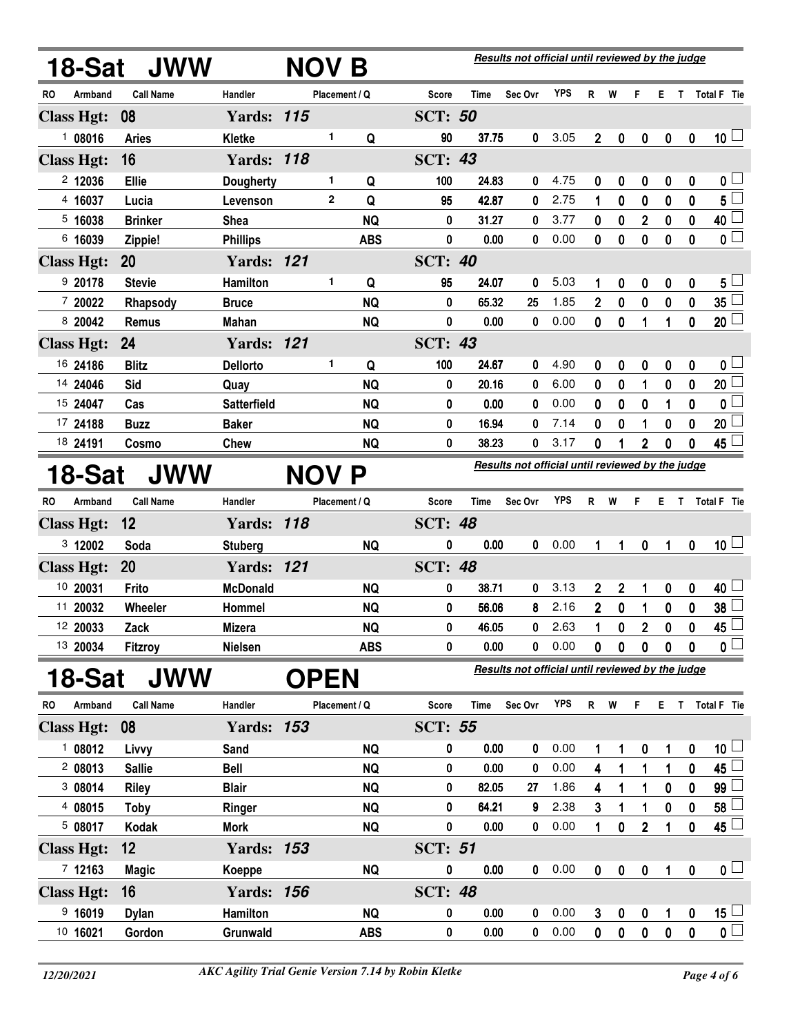| 18-Sat               |                  | <b>JWW</b>         | NOV B         |            |                |             | Results not official until reviewed by the judge |            |                |                  |              |                  |                  |                         |
|----------------------|------------------|--------------------|---------------|------------|----------------|-------------|--------------------------------------------------|------------|----------------|------------------|--------------|------------------|------------------|-------------------------|
| Armband<br>RO        | <b>Call Name</b> | Handler            | Placement / Q |            | <b>Score</b>   | <b>Time</b> | Sec Ovr                                          | <b>YPS</b> | $R$ W          |                  | F.           |                  |                  | E T Total F Tie         |
| <b>Class Hgt:</b>    | 08               | <b>Yards: 115</b>  |               |            | <b>SCT: 50</b> |             |                                                  |            |                |                  |              |                  |                  |                         |
| 108016               | <b>Aries</b>     | <b>Kletke</b>      | 1             | Q          | 90             | 37.75       | 0                                                | 3.05       | $\overline{2}$ | 0                | 0            | $\boldsymbol{0}$ | $\boldsymbol{0}$ | 10 <sup>1</sup>         |
| <b>Class Hgt:</b>    | 16               | <b>Yards: 118</b>  |               |            | <b>SCT: 43</b> |             |                                                  |            |                |                  |              |                  |                  |                         |
| 2 12036              | <b>Ellie</b>     | <b>Dougherty</b>   | 1             | Q          | 100            | 24.83       | 0                                                | 4.75       | 0              | 0                | 0            | 0                | 0                | 0 <sup>1</sup>          |
| 4 16037              | Lucia            | Levenson           | $\mathbf{2}$  | Q          | 95             | 42.87       | 0                                                | 2.75       | 1              | 0                | 0            | 0                | $\bf{0}$         | $5^{\square}$           |
| 5 16038              | <b>Brinker</b>   | <b>Shea</b>        |               | <b>NQ</b>  | 0              | 31.27       | 0                                                | 3.77       | 0              | 0                | $\mathbf{2}$ | 0                | 0                | 40                      |
| 6 16039              | Zippie!          | <b>Phillips</b>    |               | <b>ABS</b> | 0              | 0.00        | 0                                                | 0.00       | 0              | $\mathbf 0$      | 0            | $\mathbf 0$      | $\mathbf 0$      | $\overline{\mathbf{0}}$ |
| <b>Class Hgt:</b>    | 20               | <b>Yards: 121</b>  |               |            | <b>SCT: 40</b> |             |                                                  |            |                |                  |              |                  |                  |                         |
| 9 20178              | <b>Stevie</b>    | Hamilton           | 1             | Q          | 95             | 24.07       | 0                                                | 5.03       | 1              | 0                | 0            | 0                | $\pmb{0}$        | $5\lfloor$              |
| 7 20022              | Rhapsody         | <b>Bruce</b>       |               | <b>NQ</b>  | 0              | 65.32       | 25                                               | 1.85       | $\overline{2}$ | 0                | 0            | 0                | 0                | $35\square$             |
| 8 20042              | <b>Remus</b>     | <b>Mahan</b>       |               | <b>NQ</b>  | 0              | 0.00        | 0                                                | 0.00       | 0              | 0                | 1            | 1                | $\mathbf 0$      | 20 <sup>1</sup>         |
| <b>Class Hgt:</b>    | 24               | <b>Yards: 121</b>  |               |            | <b>SCT: 43</b> |             |                                                  |            |                |                  |              |                  |                  |                         |
| 16 24186             | <b>Blitz</b>     | <b>Dellorto</b>    | 1             | Q          | 100            | 24.67       | 0                                                | 4.90       | 0              | 0                | 0            | 0                | 0                | 0 <sub>1</sub>          |
| 14 24046             | Sid              | Quay               |               | <b>NQ</b>  | 0              | 20.16       | 0                                                | 6.00       | 0              | 0                | 1            | 0                | $\pmb{0}$        | 20                      |
| 15 24047             | Cas              | <b>Satterfield</b> |               | <b>NQ</b>  | 0              | 0.00        | 0                                                | 0.00       | 0              | 0                | 0            | 1                | $\mathbf 0$      | 0                       |
| 17 24188             | <b>Buzz</b>      | <b>Baker</b>       |               | <b>NQ</b>  | 0              | 16.94       | 0                                                | 7.14       | 0              | 0                | 1            | 0                | 0                | 20                      |
| 18 24191             | Cosmo            | Chew               |               | <b>NQ</b>  | 0              | 38.23       | 0                                                | 3.17       | 0              |                  | $\mathbf 2$  | 0                | 0                | 45 <sup>1</sup>         |
| 18-Sat               |                  | <b>JWW</b>         | <b>NOV</b>    | P          |                |             | Results not official until reviewed by the judge |            |                |                  |              |                  |                  |                         |
| RO.<br>Armband       | <b>Call Name</b> | Handler            | Placement / Q |            | <b>Score</b>   | Time        | Sec Ovr                                          | <b>YPS</b> | R W            |                  | F.           |                  |                  | E T Total F Tie         |
| <b>Class Hgt:</b>    | 12               | <b>Yards: 118</b>  |               |            | <b>SCT: 48</b> |             |                                                  |            |                |                  |              |                  |                  |                         |
| 3 12002              | Soda             | <b>Stuberg</b>     |               | <b>NQ</b>  | 0              | 0.00        | $\mathbf{0}$                                     | 0.00       | 1              | 1                | $\pmb{0}$    | 1                | $\boldsymbol{0}$ | 10 <sup>1</sup>         |
| <b>Class Hgt:</b>    | 20               | <b>Yards: 121</b>  |               |            | <b>SCT: 48</b> |             |                                                  |            |                |                  |              |                  |                  |                         |
| 10 20031             | Frito            | <b>McDonald</b>    |               | <b>NQ</b>  | 0              | 38.71       | 0                                                | 3.13       | $\mathbf 2$    | $\boldsymbol{2}$ | 1            | 0                | $\pmb{0}$        | 40 <sup>1</sup>         |
| 11 20032             | Wheeler          | Hommel             |               | <b>NQ</b>  | 0              | 56.06       | 8                                                | 2.16       | $\mathbf 2$    | 0                | 1            | 0                | 0                | 38 <sup>1</sup>         |
| 12 20033             | Zack             | <b>Mizera</b>      |               | <b>NQ</b>  | 0              | 46.05       | 0                                                | 2.63       | 1              | 0                | $\mathbf 2$  | $\mathbf 0$      | $\mathbf 0$      | 45 <sup>1</sup>         |
| 13 20034             | <b>Fitzroy</b>   | Nielsen            |               | <b>ABS</b> | 0              | 0.00        | 0                                                | 0.00       | 0              | 0                | 0            | 0                | 0                | 0 l                     |
| 18-Sat               |                  | <b>JWW</b>         | <b>OPEN</b>   |            |                |             | Results not official until reviewed by the judge |            |                |                  |              |                  |                  |                         |
| Armband<br><b>RO</b> | <b>Call Name</b> | Handler            | Placement / Q |            | <b>Score</b>   | Time        | Sec Ovr                                          | <b>YPS</b> | R W            |                  | F.           | E.               | $\mathbf T$      | Total F Tie             |
| <b>Class Hgt:</b>    | 08               | <b>Yards: 153</b>  |               |            | <b>SCT: 55</b> |             |                                                  |            |                |                  |              |                  |                  |                         |
| 108012               | Livvy            | Sand               |               | <b>NQ</b>  | 0              | 0.00        | 0                                                | 0.00       | 1              |                  | 0            | 1                | 0                | 10 <sup>1</sup>         |
| 208013               | <b>Sallie</b>    | <b>Bell</b>        |               | <b>NQ</b>  | 0              | 0.00        | 0                                                | 0.00       | 4              | 1                | 1            | 1                | $\pmb{0}$        | 45                      |
| 308014               | <b>Riley</b>     | <b>Blair</b>       |               | <b>NQ</b>  | 0              | 82.05       | 27                                               | 1.86       | 4              | 1                | 1            | 0                | $\bf{0}$         | $99^{\perp}$            |
| 4 08015              | <b>Toby</b>      | Ringer             |               | <b>NQ</b>  | 0              | 64.21       | 9                                                | 2.38       | 3              | 1                | 1            | 0                | 0                | 58                      |
| 5 08017              | Kodak            | Mork               |               | <b>NQ</b>  | 0              | 0.00        | $\mathbf 0$                                      | 0.00       | 1              | $\bf{0}$         | $\mathbf{2}$ | 1                | $\bf{0}$         | $45\Box$                |
| <b>Class Hgt:</b>    | 12               | <b>Yards: 153</b>  |               |            | <b>SCT: 51</b> |             |                                                  |            |                |                  |              |                  |                  |                         |
| 712163               | <b>Magic</b>     | Koeppe             |               | NQ         | 0              | 0.00        | 0                                                | 0.00       | $\bf{0}$       | 0                | $\pmb{0}$    | 1                | $\boldsymbol{0}$ | $\mathbf{0}$            |
| <b>Class Hgt:</b>    | 16               | <b>Yards: 156</b>  |               |            | <b>SCT: 48</b> |             |                                                  |            |                |                  |              |                  |                  |                         |
| 9,16019              | <b>Dylan</b>     | Hamilton           |               | <b>NQ</b>  | 0              | 0.00        | 0                                                | 0.00       | 3              | 0                | 0            | 1                | 0                | $15\square$             |
| 10 16021             | Gordon           | Grunwald           |               | <b>ABS</b> | 0              | 0.00        | 0                                                | 0.00       | $\pmb{0}$      | 0                | 0            | 0                | 0                | $\overline{\mathbf{0}}$ |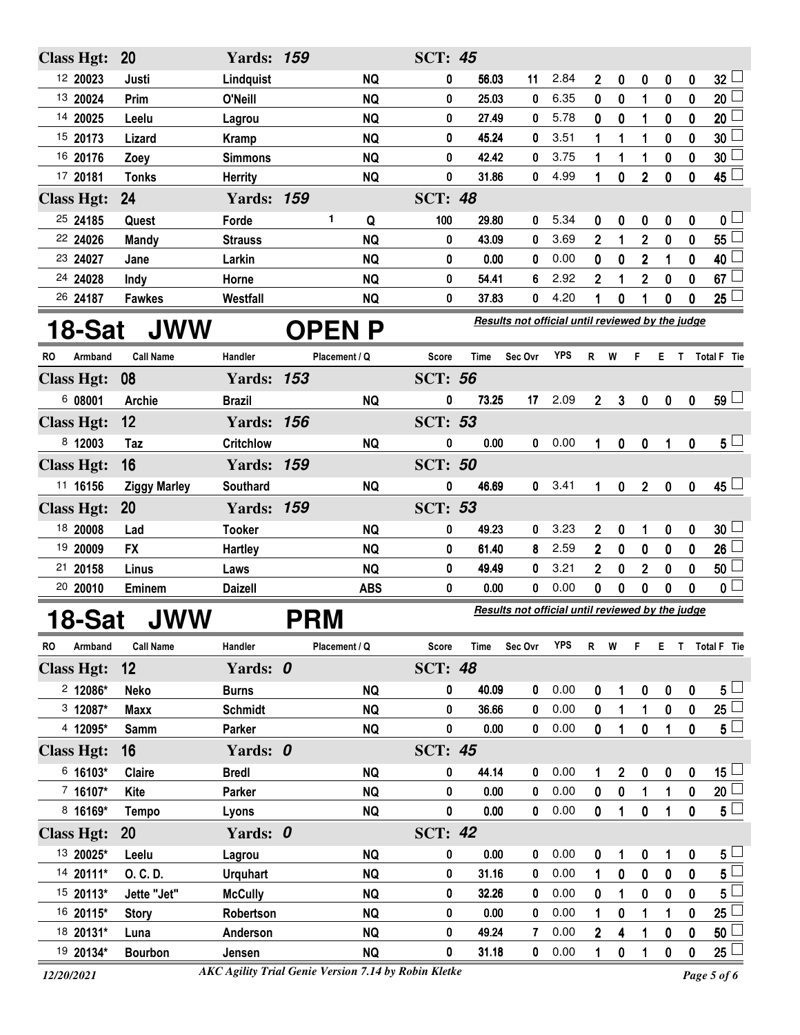| <b>Class Hgt:</b>    | <b>20</b>           | <b>Yards: 159</b> |  |               |               | <b>SCT: 45</b> |       |                                                  |            |                |              |                  |             |                  |                 |
|----------------------|---------------------|-------------------|--|---------------|---------------|----------------|-------|--------------------------------------------------|------------|----------------|--------------|------------------|-------------|------------------|-----------------|
| 12 20023             | Justi               | Lindquist         |  |               | <b>NQ</b>     | 0              | 56.03 | 11                                               | 2.84       | $\overline{2}$ | 0            | $\boldsymbol{0}$ | 0           | $\boldsymbol{0}$ | 32 <sup>1</sup> |
| 13 20024             | Prim                | O'Neill           |  |               | <b>NQ</b>     | 0              | 25.03 | 0                                                | 6.35       | 0              | 0            | 1                | 0           | 0                | 20 <sup>1</sup> |
| 14 20025             | Leelu               | Lagrou            |  |               | <b>NQ</b>     | 0              | 27.49 | 0                                                | 5.78       | $\bf{0}$       | $\bf{0}$     | 1                | $\bf{0}$    | $\bf{0}$         | 20              |
| 15 20173             | Lizard              | Kramp             |  |               | <b>NQ</b>     | 0              | 45.24 | 0                                                | 3.51       | 1              | 1            | 1                | 0           | $\bf{0}$         | 30              |
| 16 20176             | Zoey                | <b>Simmons</b>    |  |               | <b>NQ</b>     | 0              | 42.42 | 0                                                | 3.75       | 1              | 1            | 1                | 0           | 0                | 30              |
| 17 20181             | <b>Tonks</b>        | <b>Herrity</b>    |  |               | <b>NQ</b>     | $\bf{0}$       | 31.86 | 0                                                | 4.99       | 1              | $\bf{0}$     | $\overline{2}$   | $\mathbf 0$ | $\mathbf{0}$     | 45 L            |
| <b>Class Hgt:</b>    | 24                  | <b>Yards: 159</b> |  |               |               | <b>SCT: 48</b> |       |                                                  |            |                |              |                  |             |                  |                 |
| 25 24185             | Quest               | Forde             |  | 1             | Q             | 100            | 29.80 | 0                                                | 5.34       | 0              | 0            | 0                | 0           | 0                | 0 <sub>1</sub>  |
| 22 24026             | <b>Mandy</b>        | <b>Strauss</b>    |  |               | <b>NQ</b>     | 0              | 43.09 | 0                                                | 3.69       | $\overline{2}$ | 1            | $\overline{2}$   | 0           | 0                | 55              |
| 23 24027             | Jane                | Larkin            |  |               | <b>NQ</b>     | 0              | 0.00  | 0                                                | 0.00       | 0              | 0            | $\mathbf 2$      | 1           | 0                | 40              |
| 24 24028             | Indy                | Horne             |  |               | <b>NQ</b>     | 0              | 54.41 | 6                                                | 2.92       | $\overline{2}$ |              | $\overline{2}$   | 0           | 0                | 67              |
| 26 24187             | <b>Fawkes</b>       | Westfall          |  |               | <b>NQ</b>     | 0              | 37.83 | 0                                                | 4.20       |                | 0            | 1                | 0           | 0                | 25              |
| 18-Sat               |                     |                   |  |               |               |                |       |                                                  |            |                |              |                  |             |                  |                 |
|                      | JWW                 |                   |  |               | <b>OPEN P</b> |                |       | Results not official until reviewed by the judge |            |                |              |                  |             |                  |                 |
| <b>Armband</b><br>RO | <b>Call Name</b>    | Handler           |  | Placement / Q |               | <b>Score</b>   | Time  | Sec Ovr                                          | <b>YPS</b> | R.             | W            | F                | Е           | T.               | Total F Tie     |
| <b>Class Hgt:</b>    | 08                  | <b>Yards: 153</b> |  |               |               | <b>SCT: 56</b> |       |                                                  |            |                |              |                  |             |                  |                 |
| 6 08001              | <b>Archie</b>       | <b>Brazil</b>     |  |               | <b>NQ</b>     | 0              | 73.25 | 17                                               | 2.09       | $\overline{2}$ | $\mathbf{3}$ | 0                | 0           | 0                | 59 L            |
| <b>Class Hgt:</b>    | 12                  | <b>Yards: 156</b> |  |               |               | <b>SCT: 53</b> |       |                                                  |            |                |              |                  |             |                  |                 |
| 8 12003              | Taz                 | <b>Critchlow</b>  |  |               | <b>NQ</b>     | 0              | 0.00  | 0                                                | 0.00       | 1              | $\mathbf 0$  | 0                | 1           | 0                | $5 -$           |
| <b>Class Hgt:</b>    | 16                  | <b>Yards: 159</b> |  |               |               | <b>SCT: 50</b> |       |                                                  |            |                |              |                  |             |                  |                 |
| 11 16156             | <b>Ziggy Marley</b> | Southard          |  |               | <b>NQ</b>     | 0              | 46.69 | $\mathbf{0}$                                     | 3.41       | 1              | 0            | $\mathbf{2}$     | $\mathbf 0$ | 0                | $45 -$          |
| <b>Class Hgt:</b>    | 20                  | <b>Yards: 159</b> |  |               |               | <b>SCT: 53</b> |       |                                                  |            |                |              |                  |             |                  |                 |
| 18 20008             | Lad                 | <b>Tooker</b>     |  |               | <b>NQ</b>     | 0              | 49.23 | 0                                                | 3.23       | $\overline{2}$ | $\bf{0}$     | 1                | 0           | $\bf{0}$         | 30 <sup>1</sup> |
| 19 20009             | <b>FX</b>           | Hartley           |  |               | <b>NQ</b>     | 0              | 61.40 | 8                                                | 2.59       | $\overline{2}$ | 0            | 0                | 0           | 0                | 26              |
| 20158<br>21          | Linus               | Laws              |  |               | <b>NQ</b>     | 0              | 49.49 | 0                                                | 3.21       | $\mathbf 2$    | 0            | $\mathbf 2$      | 0           | 0                | 50              |

## **18-Sat JWW**

**PRM Results not official until reviewed by the judge** 

| <b>RO</b> | Armband           | <b>Call Name</b> | Handler         | Placement / Q | Score          | <b>Time</b> | Sec Ovr | <b>YPS</b> | R            | W | F        | Е |              | Total F Tie       |
|-----------|-------------------|------------------|-----------------|---------------|----------------|-------------|---------|------------|--------------|---|----------|---|--------------|-------------------|
|           | <b>Class Hgt:</b> | 12               | Yards: 0        |               | <b>SCT: 48</b> |             |         |            |              |   |          |   |              |                   |
|           | $2$ 12086*        | Neko             | <b>Burns</b>    | <b>NQ</b>     | 0              | 40.09       | 0       | 0.00       | 0            | 1 | 0        | 0 | $\mathbf 0$  | $5\overline{)}$   |
|           | $3\;12087*$       | <b>Maxx</b>      | <b>Schmidt</b>  | <b>NQ</b>     | 0              | 36.66       | 0       | 0.00       | 0            |   |          | 0 | 0            | 25                |
|           | 4 12095*          | Samm             | Parker          | <b>NQ</b>     | 0              | 0.00        | 0       | 0.00       | 0            |   | 0        |   | 0            | $5\perp$          |
|           | <b>Class Hgt:</b> | 16               | Yards: 0        |               | <b>SCT: 45</b> |             |         |            |              |   |          |   |              |                   |
|           | $6.16103*$        | <b>Claire</b>    | <b>Bredl</b>    | <b>NQ</b>     | 0              | 44.14       | 0       | 0.00       |              | 2 | 0        | 0 | 0            | 15 <sub>1</sub>   |
|           | $7.16107*$        | Kite             | Parker          | <b>NQ</b>     | 0              | 0.00        | 0       | 0.00       | 0            | 0 |          |   | $\bf{0}$     | 20                |
|           | 8 16169*          | Tempo            | Lyons           | <b>NQ</b>     | 0              | 0.00        | 0       | 0.00       | 0            | 1 | 0        |   | $\mathbf{0}$ | $5^{\perp}$       |
|           | <b>Class Hgt:</b> | <b>20</b>        | Yards: 0        |               | <b>SCT: 42</b> |             |         |            |              |   |          |   |              |                   |
|           | 13 20025*         | Leelu            | Lagrou          | <b>NQ</b>     | 0              | 0.00        | 0       | 0.00       | $\mathbf{0}$ | 1 | $\bf{0}$ | 1 | $\mathbf{0}$ | $5\perp$          |
|           | 14 20111*         | O. C. D.         | <b>Urguhart</b> | <b>NQ</b>     | 0              | 31.16       | 0       | 0.00       |              | 0 | 0        | 0 | $\mathbf{0}$ | $5^{\frac{1}{2}}$ |
|           | 15 20113*         | Jette "Jet"      | <b>McCully</b>  | <b>NQ</b>     | 0              | 32.26       | 0       | 0.00       | 0            |   | 0        | 0 | 0            | $5^{\frac{1}{2}}$ |
|           | 16 20115*         | <b>Story</b>     | Robertson       | <b>NQ</b>     | 0              | 0.00        | 0       | 0.00       |              | 0 |          |   | 0            | 25                |
|           | 18 20131*         | Luna             | Anderson        | <b>NQ</b>     | 0              | 49.24       | 7       | 0.00       | 2            | 4 |          | 0 | 0            | 50                |
|           | 19 20134*         | <b>Bourbon</b>   | Jensen          | <b>NQ</b>     | 0              | 31.18       | 0       | 0.00       |              | 0 |          | 0 | 0            | 25 <sub>2</sub>   |

*12/20/2021 Page 5 of 6 AKC Agility Trial Genie Version 7.14 by Robin Kletke*